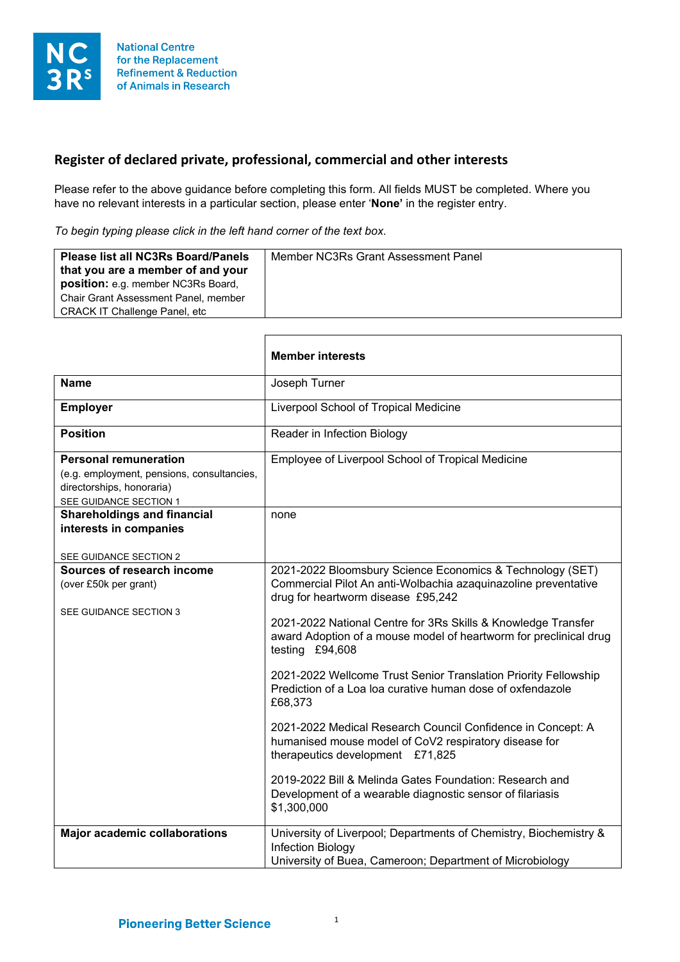

## **Register of declared private, professional, commercial and other interests**

Г

Please refer to the above guidance before completing this form. All fields MUST be completed. Where you have no relevant interests in a particular section, please enter '**None'** in the register entry.

*To begin typing please click in the left hand corner of the text box.*

٦

|                                                                                                                                   | <b>Member interests</b>                                                                                                                                                                                                                                                                                                    |
|-----------------------------------------------------------------------------------------------------------------------------------|----------------------------------------------------------------------------------------------------------------------------------------------------------------------------------------------------------------------------------------------------------------------------------------------------------------------------|
| <b>Name</b>                                                                                                                       | Joseph Turner                                                                                                                                                                                                                                                                                                              |
| <b>Employer</b>                                                                                                                   | Liverpool School of Tropical Medicine                                                                                                                                                                                                                                                                                      |
| <b>Position</b>                                                                                                                   | Reader in Infection Biology                                                                                                                                                                                                                                                                                                |
| <b>Personal remuneration</b><br>(e.g. employment, pensions, consultancies,<br>directorships, honoraria)<br>SEE GUIDANCE SECTION 1 | Employee of Liverpool School of Tropical Medicine                                                                                                                                                                                                                                                                          |
| <b>Shareholdings and financial</b><br>interests in companies<br>SEE GUIDANCE SECTION 2                                            | none                                                                                                                                                                                                                                                                                                                       |
| Sources of research income<br>(over £50k per grant)<br>SEE GUIDANCE SECTION 3                                                     | 2021-2022 Bloomsbury Science Economics & Technology (SET)<br>Commercial Pilot An anti-Wolbachia azaquinazoline preventative<br>drug for heartworm disease £95,242<br>2021-2022 National Centre for 3Rs Skills & Knowledge Transfer<br>award Adoption of a mouse model of heartworm for preclinical drug<br>testing £94,608 |
|                                                                                                                                   | 2021-2022 Wellcome Trust Senior Translation Priority Fellowship<br>Prediction of a Loa loa curative human dose of oxfendazole<br>£68,373                                                                                                                                                                                   |
|                                                                                                                                   | 2021-2022 Medical Research Council Confidence in Concept: A<br>humanised mouse model of CoV2 respiratory disease for<br>therapeutics development £71,825                                                                                                                                                                   |
|                                                                                                                                   | 2019-2022 Bill & Melinda Gates Foundation: Research and<br>Development of a wearable diagnostic sensor of filariasis<br>\$1,300,000                                                                                                                                                                                        |
| <b>Major academic collaborations</b>                                                                                              | University of Liverpool; Departments of Chemistry, Biochemistry &<br>Infection Biology<br>University of Buea, Cameroon; Department of Microbiology                                                                                                                                                                         |